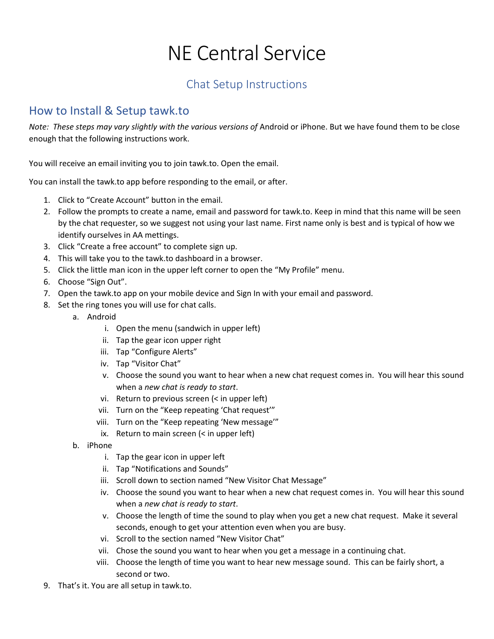## NE Central Service

## Chat Setup Instructions

## How to Install & Setup tawk.to

*Note: These steps may vary slightly with the various versions of Android or iPhone. But we have found them to be close* enough that the following instructions work.

You will receive an email inviting you to join tawk.to. Open the email.

You can install the tawk.to app before responding to the email, or after.

- 1. Click to "Create Account" button in the email.
- 2. Follow the prompts to create a name, email and password for tawk.to. Keep in mind that this name will be seen by the chat requester, so we suggest not using your last name. First name only is best and is typical of how we identify ourselves in AA mettings.
- 3. Click "Create a free account" to complete sign up.
- 4. This will take you to the tawk.to dashboard in a browser.
- 5. Click the little man icon in the upper left corner to open the "My Profile" menu.
- 6. Choose "Sign Out".
- 7. Open the tawk.to app on your mobile device and Sign In with your email and password.
- 8. Set the ring tones you will use for chat calls.
	- a. Android
		- i. Open the menu (sandwich in upper left)
		- ii. Tap the gear icon upper right
		- iii. Tap "Configure Alerts"
		- iv. Tap "Visitor Chat"
		- v. Choose the sound you want to hear when a new chat request comes in. You will hear this sound when a *new chat is ready to start*.
		- vi. Return to previous screen (< in upper left)
		- vii. Turn on the "Keep repeating 'Chat request'"
		- viii. Turn on the "Keep repeating 'New message'"
		- ix. Return to main screen (< in upper left)
		- b. iPhone
			- i. Tap the gear icon in upper left
			- ii. Tap "Notifications and Sounds"
			- iii. Scroll down to section named "New Visitor Chat Message"
			- iv. Choose the sound you want to hear when a new chat request comes in. You will hear this sound when a *new chat is ready to start*.
			- v. Choose the length of time the sound to play when you get a new chat request. Make it several seconds, enough to get your attention even when you are busy.
			- vi. Scroll to the section named "New Visitor Chat"
			- vii. Chose the sound you want to hear when you get a message in a continuing chat.
			- viii. Choose the length of time you want to hear new message sound. This can be fairly short, a second or two.
- 9. That's it. You are all setup in tawk.to.